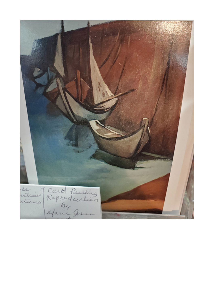